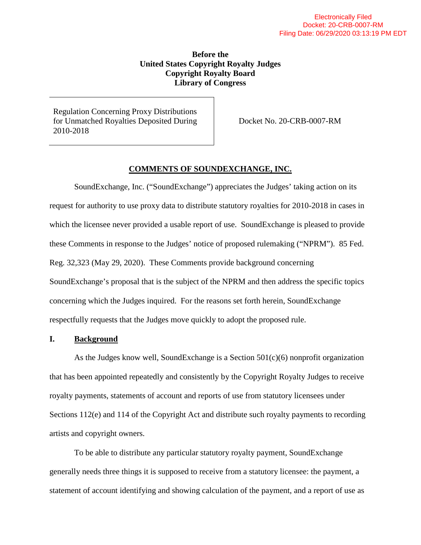# **Before the United States Copyright Royalty Judges Copyright Royalty Board Library of Congress**

Regulation Concerning Proxy Distributions for Unmatched Royalties Deposited During 2010-2018

Docket No. 20-CRB-0007-RM

## **COMMENTS OF SOUNDEXCHANGE, INC.**

SoundExchange, Inc. ("SoundExchange") appreciates the Judges' taking action on its request for authority to use proxy data to distribute statutory royalties for 2010-2018 in cases in which the licensee never provided a usable report of use. SoundExchange is pleased to provide these Comments in response to the Judges' notice of proposed rulemaking ("NPRM"). 85 Fed. Reg. 32,323 (May 29, 2020). These Comments provide background concerning SoundExchange's proposal that is the subject of the NPRM and then address the specific topics concerning which the Judges inquired. For the reasons set forth herein, SoundExchange respectfully requests that the Judges move quickly to adopt the proposed rule.

#### **I. Background**

As the Judges know well, SoundExchange is a Section 501(c)(6) nonprofit organization that has been appointed repeatedly and consistently by the Copyright Royalty Judges to receive royalty payments, statements of account and reports of use from statutory licensees under Sections 112(e) and 114 of the Copyright Act and distribute such royalty payments to recording artists and copyright owners.

To be able to distribute any particular statutory royalty payment, SoundExchange generally needs three things it is supposed to receive from a statutory licensee: the payment, a statement of account identifying and showing calculation of the payment, and a report of use as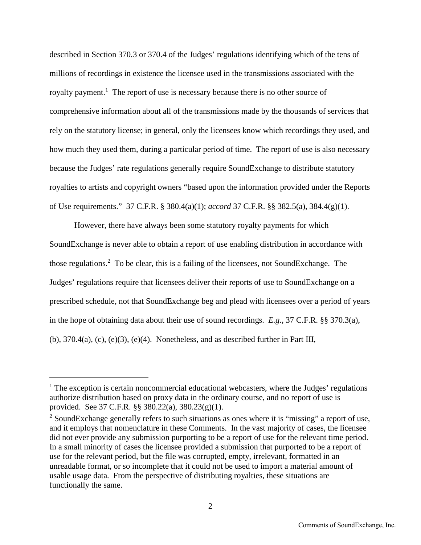described in Section 370.3 or 370.4 of the Judges' regulations identifying which of the tens of millions of recordings in existence the licensee used in the transmissions associated with the royaltypayment.<sup>1</sup> The report of use is necessary because there is no other source of comprehensive information about all of the transmissions made by the thousands of services that rely on the statutory license; in general, only the licensees know which recordings they used, and how much they used them, during a particular period of time. The report of use is also necessary because the Judges' rate regulations generally require SoundExchange to distribute statutory royalties to artists and copyright owners "based upon the information provided under the Reports of Use requirements." 37 C.F.R. § 380.4(a)(1); *accord* 37 C.F.R. §§ 382.5(a), 384.4(g)(1).

However, there have always been some statutory royalty payments for which SoundExchange is never able to obtain a report of use enabling distribution in accordance with thoseregulations.<sup>2</sup> To be clear, this is a failing of the licensees, not SoundExchange. The Judges' regulations require that licensees deliver their reports of use to SoundExchange on a prescribed schedule, not that SoundExchange beg and plead with licensees over a period of years in the hope of obtaining data about their use of sound recordings. *E.g*., 37 C.F.R. §§ 370.3(a),  $(b)$ , 370.4(a),  $(c)$ ,  $(e)(3)$ ,  $(e)(4)$ . Nonetheless, and as described further in Part III,

<span id="page-1-0"></span><sup>&</sup>lt;sup>1</sup> The exception is certain noncommercial educational webcasters, where the Judges' regulations authorize distribution based on proxy data in the ordinary course, and no report of use is provided. See 37 C.F.R. §§ 380.22(a), 380.23(g)(1).

<span id="page-1-1"></span> $2$  SoundExchange generally refers to such situations as ones where it is "missing" a report of use, and it employs that nomenclature in these Comments. In the vast majority of cases, the licensee did not ever provide any submission purporting to be a report of use for the relevant time period. In a small minority of cases the licensee provided a submission that purported to be a report of use for the relevant period, but the file was corrupted, empty, irrelevant, formatted in an unreadable format, or so incomplete that it could not be used to import a material amount of usable usage data. From the perspective of distributing royalties, these situations are functionally the same.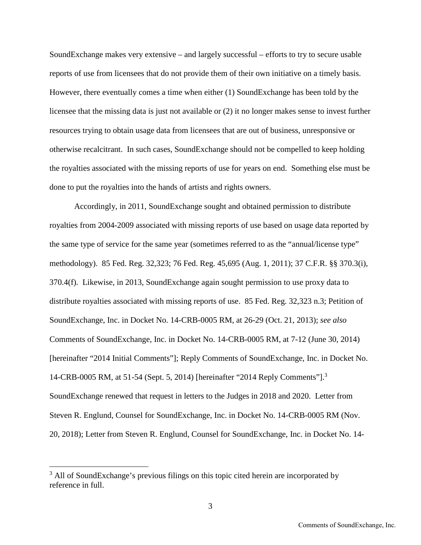SoundExchange makes very extensive – and largely successful – efforts to try to secure usable reports of use from licensees that do not provide them of their own initiative on a timely basis. However, there eventually comes a time when either (1) SoundExchange has been told by the licensee that the missing data is just not available or (2) it no longer makes sense to invest further resources trying to obtain usage data from licensees that are out of business, unresponsive or otherwise recalcitrant. In such cases, SoundExchange should not be compelled to keep holding the royalties associated with the missing reports of use for years on end. Something else must be done to put the royalties into the hands of artists and rights owners.

Accordingly, in 2011, SoundExchange sought and obtained permission to distribute royalties from 2004-2009 associated with missing reports of use based on usage data reported by the same type of service for the same year (sometimes referred to as the "annual/license type" methodology). 85 Fed. Reg. 32,323; 76 Fed. Reg. 45,695 (Aug. 1, 2011); 37 C.F.R. §§ 370.3(i), 370.4(f). Likewise, in 2013, SoundExchange again sought permission to use proxy data to distribute royalties associated with missing reports of use. 85 Fed. Reg. 32,323 n.3; Petition of SoundExchange, Inc. in Docket No. 14-CRB-0005 RM, at 26-29 (Oct. 21, 2013); *see also* Comments of SoundExchange, Inc. in Docket No. 14-CRB-0005 RM, at 7-12 (June 30, 2014) [hereinafter "2014 Initial Comments"]; Reply Comments of SoundExchange, Inc. in Docket No. 14-CRB-0005 RM, at 51-54 (Sept. 5, 2014) [hereinafter "2014 Reply Comments"].[3](#page-2-0) SoundExchange renewed that request in letters to the Judges in 2018 and 2020. Letter from Steven R. Englund, Counsel for SoundExchange, Inc. in Docket No. 14-CRB-0005 RM (Nov. 20, 2018); Letter from Steven R. Englund, Counsel for SoundExchange, Inc. in Docket No. 14-

<span id="page-2-0"></span><sup>&</sup>lt;sup>3</sup> All of SoundExchange's previous filings on this topic cited herein are incorporated by reference in full.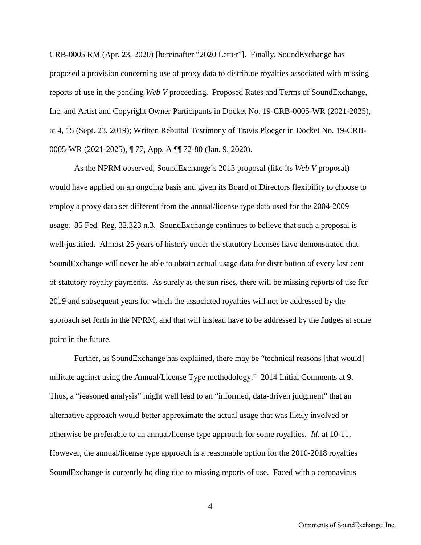CRB-0005 RM (Apr. 23, 2020) [hereinafter "2020 Letter"]. Finally, SoundExchange has proposed a provision concerning use of proxy data to distribute royalties associated with missing reports of use in the pending *Web V* proceeding. Proposed Rates and Terms of SoundExchange, Inc. and Artist and Copyright Owner Participants in Docket No. 19-CRB-0005-WR (2021-2025), at 4, 15 (Sept. 23, 2019); Written Rebuttal Testimony of Travis Ploeger in Docket No. 19-CRB-0005-WR (2021-2025), ¶ 77, App. A ¶¶ 72-80 (Jan. 9, 2020).

As the NPRM observed, SoundExchange's 2013 proposal (like its *Web V* proposal) would have applied on an ongoing basis and given its Board of Directors flexibility to choose to employ a proxy data set different from the annual/license type data used for the 2004-2009 usage. 85 Fed. Reg. 32,323 n.3. SoundExchange continues to believe that such a proposal is well-justified. Almost 25 years of history under the statutory licenses have demonstrated that SoundExchange will never be able to obtain actual usage data for distribution of every last cent of statutory royalty payments. As surely as the sun rises, there will be missing reports of use for 2019 and subsequent years for which the associated royalties will not be addressed by the approach set forth in the NPRM, and that will instead have to be addressed by the Judges at some point in the future.

Further, as SoundExchange has explained, there may be "technical reasons [that would] militate against using the Annual/License Type methodology." 2014 Initial Comments at 9. Thus, a "reasoned analysis" might well lead to an "informed, data-driven judgment" that an alternative approach would better approximate the actual usage that was likely involved or otherwise be preferable to an annual/license type approach for some royalties. *Id*. at 10-11. However, the annual/license type approach is a reasonable option for the 2010-2018 royalties SoundExchange is currently holding due to missing reports of use. Faced with a coronavirus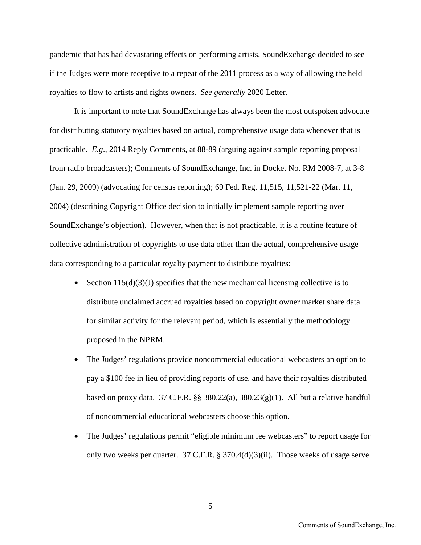pandemic that has had devastating effects on performing artists, SoundExchange decided to see if the Judges were more receptive to a repeat of the 2011 process as a way of allowing the held royalties to flow to artists and rights owners. *See generally* 2020 Letter.

It is important to note that SoundExchange has always been the most outspoken advocate for distributing statutory royalties based on actual, comprehensive usage data whenever that is practicable. *E.g*., 2014 Reply Comments, at 88-89 (arguing against sample reporting proposal from radio broadcasters); Comments of SoundExchange, Inc. in Docket No. RM 2008-7, at 3-8 (Jan. 29, 2009) (advocating for census reporting); 69 Fed. Reg. 11,515, 11,521-22 (Mar. 11, 2004) (describing Copyright Office decision to initially implement sample reporting over SoundExchange's objection). However, when that is not practicable, it is a routine feature of collective administration of copyrights to use data other than the actual, comprehensive usage data corresponding to a particular royalty payment to distribute royalties:

- Section  $115(d)(3)(J)$  specifies that the new mechanical licensing collective is to distribute unclaimed accrued royalties based on copyright owner market share data for similar activity for the relevant period, which is essentially the methodology proposed in the NPRM.
- The Judges' regulations provide noncommercial educational webcasters an option to pay a \$100 fee in lieu of providing reports of use, and have their royalties distributed based on proxy data. 37 C.F.R.  $\S$  380.22(a), 380.23(g)(1). All but a relative handful of noncommercial educational webcasters choose this option.
- The Judges' regulations permit "eligible minimum fee webcasters" to report usage for only two weeks per quarter. 37 C.F.R. § 370.4(d)(3)(ii). Those weeks of usage serve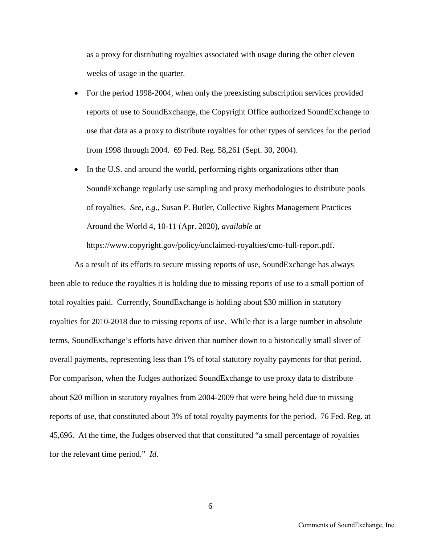as a proxy for distributing royalties associated with usage during the other eleven weeks of usage in the quarter.

- For the period 1998-2004, when only the preexisting subscription services provided reports of use to SoundExchange, the Copyright Office authorized SoundExchange to use that data as a proxy to distribute royalties for other types of services for the period from 1998 through 2004. 69 Fed. Reg. 58,261 (Sept. 30, 2004).
- In the U.S. and around the world, performing rights organizations other than SoundExchange regularly use sampling and proxy methodologies to distribute pools of royalties. *See, e.g*., Susan P. Butler, Collective Rights Management Practices Around the World 4, 10-11 (Apr. 2020), *available at*

https://www.copyright.gov/policy/unclaimed-royalties/cmo-full-report.pdf.

As a result of its efforts to secure missing reports of use, SoundExchange has always been able to reduce the royalties it is holding due to missing reports of use to a small portion of total royalties paid. Currently, SoundExchange is holding about \$30 million in statutory royalties for 2010-2018 due to missing reports of use. While that is a large number in absolute terms, SoundExchange's efforts have driven that number down to a historically small sliver of overall payments, representing less than 1% of total statutory royalty payments for that period. For comparison, when the Judges authorized SoundExchange to use proxy data to distribute about \$20 million in statutory royalties from 2004-2009 that were being held due to missing reports of use, that constituted about 3% of total royalty payments for the period. 76 Fed. Reg. at 45,696. At the time, the Judges observed that that constituted "a small percentage of royalties for the relevant time period." *Id*.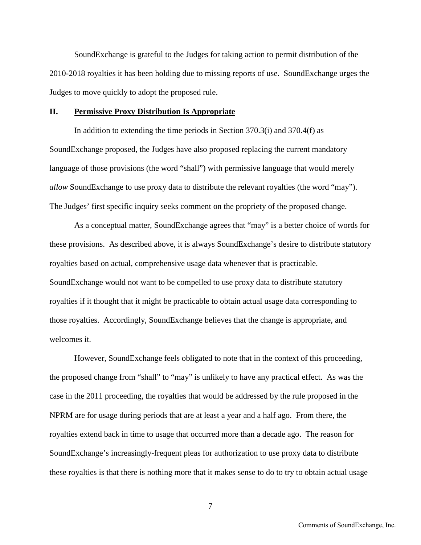SoundExchange is grateful to the Judges for taking action to permit distribution of the 2010-2018 royalties it has been holding due to missing reports of use. SoundExchange urges the Judges to move quickly to adopt the proposed rule.

## **II. Permissive Proxy Distribution Is Appropriate**

In addition to extending the time periods in Section 370.3(i) and 370.4(f) as SoundExchange proposed, the Judges have also proposed replacing the current mandatory language of those provisions (the word "shall") with permissive language that would merely *allow* SoundExchange to use proxy data to distribute the relevant royalties (the word "may"). The Judges' first specific inquiry seeks comment on the propriety of the proposed change.

As a conceptual matter, SoundExchange agrees that "may" is a better choice of words for these provisions. As described above, it is always SoundExchange's desire to distribute statutory royalties based on actual, comprehensive usage data whenever that is practicable. SoundExchange would not want to be compelled to use proxy data to distribute statutory royalties if it thought that it might be practicable to obtain actual usage data corresponding to those royalties. Accordingly, SoundExchange believes that the change is appropriate, and welcomes it.

However, SoundExchange feels obligated to note that in the context of this proceeding, the proposed change from "shall" to "may" is unlikely to have any practical effect. As was the case in the 2011 proceeding, the royalties that would be addressed by the rule proposed in the NPRM are for usage during periods that are at least a year and a half ago. From there, the royalties extend back in time to usage that occurred more than a decade ago. The reason for SoundExchange's increasingly-frequent pleas for authorization to use proxy data to distribute these royalties is that there is nothing more that it makes sense to do to try to obtain actual usage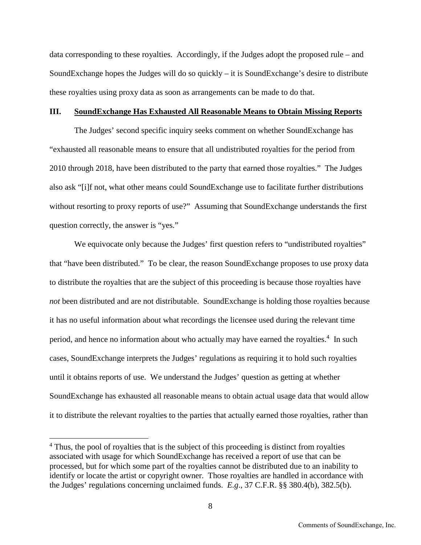data corresponding to these royalties. Accordingly, if the Judges adopt the proposed rule – and SoundExchange hopes the Judges will do so quickly – it is SoundExchange's desire to distribute these royalties using proxy data as soon as arrangements can be made to do that.

#### **III. SoundExchange Has Exhausted All Reasonable Means to Obtain Missing Reports**

The Judges' second specific inquiry seeks comment on whether SoundExchange has "exhausted all reasonable means to ensure that all undistributed royalties for the period from 2010 through 2018, have been distributed to the party that earned those royalties." The Judges also ask "[i]f not, what other means could SoundExchange use to facilitate further distributions without resorting to proxy reports of use?" Assuming that SoundExchange understands the first question correctly, the answer is "yes."

We equivocate only because the Judges' first question refers to "undistributed royalties" that "have been distributed." To be clear, the reason SoundExchange proposes to use proxy data to distribute the royalties that are the subject of this proceeding is because those royalties have *not* been distributed and are not distributable. SoundExchange is holding those royalties because it has no useful information about what recordings the licensee used during the relevant time period,and hence no information about who actually may have earned the royalties.<sup>4</sup> In such cases, SoundExchange interprets the Judges' regulations as requiring it to hold such royalties until it obtains reports of use. We understand the Judges' question as getting at whether SoundExchange has exhausted all reasonable means to obtain actual usage data that would allow it to distribute the relevant royalties to the parties that actually earned those royalties, rather than

<span id="page-7-0"></span><sup>&</sup>lt;sup>4</sup> Thus, the pool of royalties that is the subject of this proceeding is distinct from royalties associated with usage for which SoundExchange has received a report of use that can be processed, but for which some part of the royalties cannot be distributed due to an inability to identify or locate the artist or copyright owner. Those royalties are handled in accordance with the Judges' regulations concerning unclaimed funds. *E.g*., 37 C.F.R. §§ 380.4(b), 382.5(b).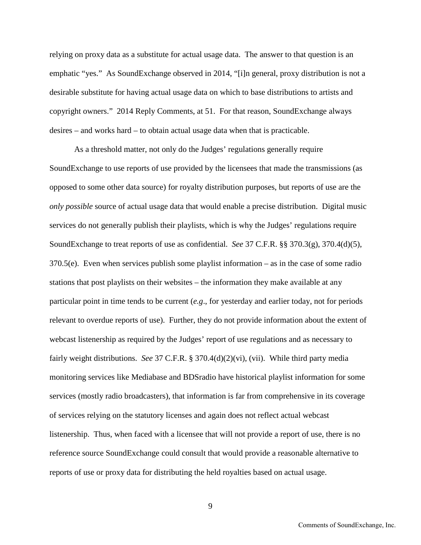relying on proxy data as a substitute for actual usage data. The answer to that question is an emphatic "yes." As SoundExchange observed in 2014, "[i]n general, proxy distribution is not a desirable substitute for having actual usage data on which to base distributions to artists and copyright owners." 2014 Reply Comments, at 51. For that reason, SoundExchange always desires – and works hard – to obtain actual usage data when that is practicable.

As a threshold matter, not only do the Judges' regulations generally require SoundExchange to use reports of use provided by the licensees that made the transmissions (as opposed to some other data source) for royalty distribution purposes, but reports of use are the *only possible* source of actual usage data that would enable a precise distribution. Digital music services do not generally publish their playlists, which is why the Judges' regulations require SoundExchange to treat reports of use as confidential. *See* 37 C.F.R. §§ 370.3(g), 370.4(d)(5), 370.5(e). Even when services publish some playlist information – as in the case of some radio stations that post playlists on their websites – the information they make available at any particular point in time tends to be current (*e.g*., for yesterday and earlier today, not for periods relevant to overdue reports of use). Further, they do not provide information about the extent of webcast listenership as required by the Judges' report of use regulations and as necessary to fairly weight distributions. *See* 37 C.F.R. § 370.4(d)(2)(vi), (vii). While third party media monitoring services like Mediabase and BDSradio have historical playlist information for some services (mostly radio broadcasters), that information is far from comprehensive in its coverage of services relying on the statutory licenses and again does not reflect actual webcast listenership. Thus, when faced with a licensee that will not provide a report of use, there is no reference source SoundExchange could consult that would provide a reasonable alternative to reports of use or proxy data for distributing the held royalties based on actual usage.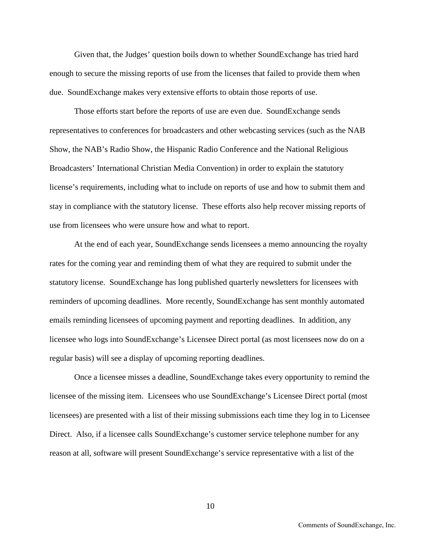Given that, the Judges' question boils down to whether SoundExchange has tried hard enough to secure the missing reports of use from the licenses that failed to provide them when due. SoundExchange makes very extensive efforts to obtain those reports of use.

Those efforts start before the reports of use are even due. SoundExchange sends representatives to conferences for broadcasters and other webcasting services (such as the NAB Show, the NAB's Radio Show, the Hispanic Radio Conference and the National Religious Broadcasters' International Christian Media Convention) in order to explain the statutory license's requirements, including what to include on reports of use and how to submit them and stay in compliance with the statutory license. These efforts also help recover missing reports of use from licensees who were unsure how and what to report.

At the end of each year, SoundExchange sends licensees a memo announcing the royalty rates for the coming year and reminding them of what they are required to submit under the statutory license. SoundExchange has long published quarterly newsletters for licensees with reminders of upcoming deadlines. More recently, SoundExchange has sent monthly automated emails reminding licensees of upcoming payment and reporting deadlines. In addition, any licensee who logs into SoundExchange's Licensee Direct portal (as most licensees now do on a regular basis) will see a display of upcoming reporting deadlines.

Once a licensee misses a deadline, SoundExchange takes every opportunity to remind the licensee of the missing item. Licensees who use SoundExchange's Licensee Direct portal (most licensees) are presented with a list of their missing submissions each time they log in to Licensee Direct. Also, if a licensee calls SoundExchange's customer service telephone number for any reason at all, software will present SoundExchange's service representative with a list of the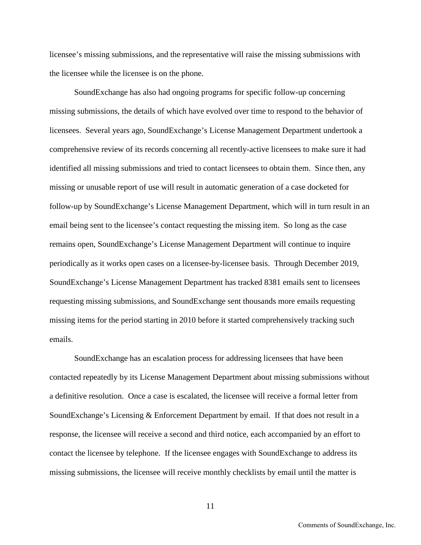licensee's missing submissions, and the representative will raise the missing submissions with the licensee while the licensee is on the phone.

SoundExchange has also had ongoing programs for specific follow-up concerning missing submissions, the details of which have evolved over time to respond to the behavior of licensees. Several years ago, SoundExchange's License Management Department undertook a comprehensive review of its records concerning all recently-active licensees to make sure it had identified all missing submissions and tried to contact licensees to obtain them. Since then, any missing or unusable report of use will result in automatic generation of a case docketed for follow-up by SoundExchange's License Management Department, which will in turn result in an email being sent to the licensee's contact requesting the missing item. So long as the case remains open, SoundExchange's License Management Department will continue to inquire periodically as it works open cases on a licensee-by-licensee basis. Through December 2019, SoundExchange's License Management Department has tracked 8381 emails sent to licensees requesting missing submissions, and SoundExchange sent thousands more emails requesting missing items for the period starting in 2010 before it started comprehensively tracking such emails.

SoundExchange has an escalation process for addressing licensees that have been contacted repeatedly by its License Management Department about missing submissions without a definitive resolution. Once a case is escalated, the licensee will receive a formal letter from SoundExchange's Licensing & Enforcement Department by email. If that does not result in a response, the licensee will receive a second and third notice, each accompanied by an effort to contact the licensee by telephone. If the licensee engages with SoundExchange to address its missing submissions, the licensee will receive monthly checklists by email until the matter is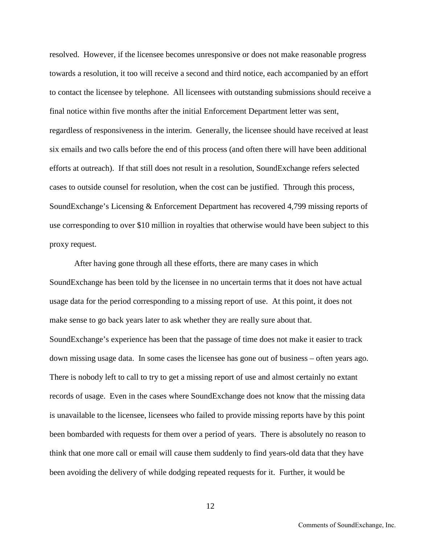resolved. However, if the licensee becomes unresponsive or does not make reasonable progress towards a resolution, it too will receive a second and third notice, each accompanied by an effort to contact the licensee by telephone. All licensees with outstanding submissions should receive a final notice within five months after the initial Enforcement Department letter was sent, regardless of responsiveness in the interim. Generally, the licensee should have received at least six emails and two calls before the end of this process (and often there will have been additional efforts at outreach). If that still does not result in a resolution, SoundExchange refers selected cases to outside counsel for resolution, when the cost can be justified. Through this process, SoundExchange's Licensing & Enforcement Department has recovered 4,799 missing reports of use corresponding to over \$10 million in royalties that otherwise would have been subject to this proxy request.

After having gone through all these efforts, there are many cases in which SoundExchange has been told by the licensee in no uncertain terms that it does not have actual usage data for the period corresponding to a missing report of use. At this point, it does not make sense to go back years later to ask whether they are really sure about that. SoundExchange's experience has been that the passage of time does not make it easier to track down missing usage data. In some cases the licensee has gone out of business – often years ago. There is nobody left to call to try to get a missing report of use and almost certainly no extant records of usage. Even in the cases where SoundExchange does not know that the missing data is unavailable to the licensee, licensees who failed to provide missing reports have by this point been bombarded with requests for them over a period of years. There is absolutely no reason to think that one more call or email will cause them suddenly to find years-old data that they have been avoiding the delivery of while dodging repeated requests for it. Further, it would be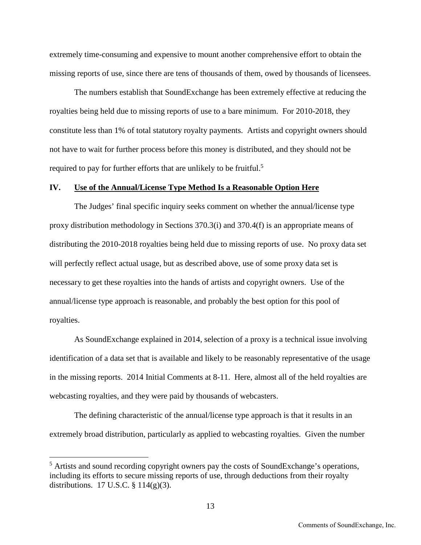extremely time-consuming and expensive to mount another comprehensive effort to obtain the missing reports of use, since there are tens of thousands of them, owed by thousands of licensees.

The numbers establish that SoundExchange has been extremely effective at reducing the royalties being held due to missing reports of use to a bare minimum. For 2010-2018, they constitute less than 1% of total statutory royalty payments. Artists and copyright owners should not have to wait for further process before this money is distributed, and they should not be required to pay for further efforts that are unlikely to be fruitful.<sup>[5](#page-12-0)</sup>

### **IV. Use of the Annual/License Type Method Is a Reasonable Option Here**

The Judges' final specific inquiry seeks comment on whether the annual/license type proxy distribution methodology in Sections 370.3(i) and 370.4(f) is an appropriate means of distributing the 2010-2018 royalties being held due to missing reports of use. No proxy data set will perfectly reflect actual usage, but as described above, use of some proxy data set is necessary to get these royalties into the hands of artists and copyright owners. Use of the annual/license type approach is reasonable, and probably the best option for this pool of royalties.

As SoundExchange explained in 2014, selection of a proxy is a technical issue involving identification of a data set that is available and likely to be reasonably representative of the usage in the missing reports. 2014 Initial Comments at 8-11. Here, almost all of the held royalties are webcasting royalties, and they were paid by thousands of webcasters.

The defining characteristic of the annual/license type approach is that it results in an extremely broad distribution, particularly as applied to webcasting royalties. Given the number

<span id="page-12-0"></span><sup>&</sup>lt;sup>5</sup> Artists and sound recording copyright owners pay the costs of SoundExchange's operations, including its efforts to secure missing reports of use, through deductions from their royalty distributions. 17 U.S.C.  $\S$  114(g)(3).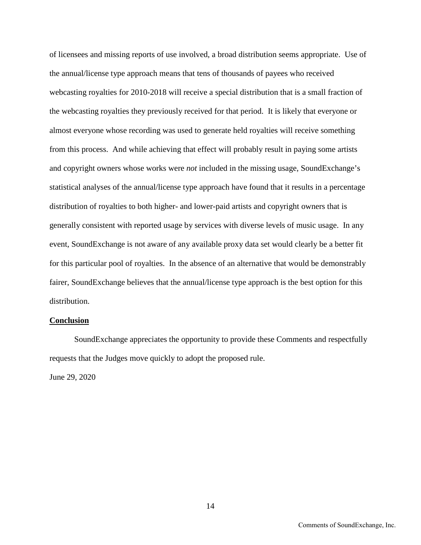of licensees and missing reports of use involved, a broad distribution seems appropriate. Use of the annual/license type approach means that tens of thousands of payees who received webcasting royalties for 2010-2018 will receive a special distribution that is a small fraction of the webcasting royalties they previously received for that period. It is likely that everyone or almost everyone whose recording was used to generate held royalties will receive something from this process. And while achieving that effect will probably result in paying some artists and copyright owners whose works were *not* included in the missing usage, SoundExchange's statistical analyses of the annual/license type approach have found that it results in a percentage distribution of royalties to both higher- and lower-paid artists and copyright owners that is generally consistent with reported usage by services with diverse levels of music usage. In any event, SoundExchange is not aware of any available proxy data set would clearly be a better fit for this particular pool of royalties. In the absence of an alternative that would be demonstrably fairer, SoundExchange believes that the annual/license type approach is the best option for this distribution.

## **Conclusion**

SoundExchange appreciates the opportunity to provide these Comments and respectfully requests that the Judges move quickly to adopt the proposed rule.

June 29, 2020